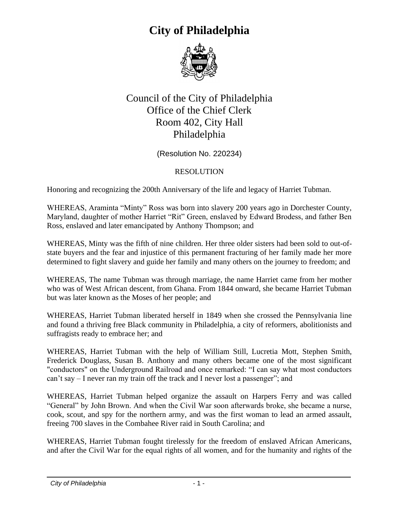

#### Council of the City of Philadelphia Office of the Chief Clerk Room 402, City Hall Philadelphia

(Resolution No. 220234)

#### RESOLUTION

Honoring and recognizing the 200th Anniversary of the life and legacy of Harriet Tubman.

WHEREAS, Araminta "Minty" Ross was born into slavery 200 years ago in Dorchester County, Maryland, daughter of mother Harriet "Rit" Green, enslaved by Edward Brodess, and father Ben Ross, enslaved and later emancipated by Anthony Thompson; and

WHEREAS, Minty was the fifth of nine children. Her three older sisters had been sold to out-ofstate buyers and the fear and injustice of this permanent fracturing of her family made her more determined to fight slavery and guide her family and many others on the journey to freedom; and

WHEREAS, The name Tubman was through marriage, the name Harriet came from her mother who was of West African descent, from Ghana. From 1844 onward, she became Harriet Tubman but was later known as the Moses of her people; and

WHEREAS, Harriet Tubman liberated herself in 1849 when she crossed the Pennsylvania line and found a thriving free Black community in Philadelphia, a city of reformers, abolitionists and suffragists ready to embrace her; and

WHEREAS, Harriet Tubman with the help of William Still, Lucretia Mott, Stephen Smith, Frederick Douglass, Susan B. Anthony and many others became one of the most significant "conductors" on the Underground Railroad and once remarked: "I can say what most conductors can't say – I never ran my train off the track and I never lost a passenger"; and

WHEREAS, Harriet Tubman helped organize the assault on Harpers Ferry and was called "General" by John Brown. And when the Civil War soon afterwards broke, she became a nurse, cook, scout, and spy for the northern army, and was the first woman to lead an armed assault, freeing 700 slaves in the Combahee River raid in South Carolina; and

WHEREAS, Harriet Tubman fought tirelessly for the freedom of enslaved African Americans, and after the Civil War for the equal rights of all women, and for the humanity and rights of the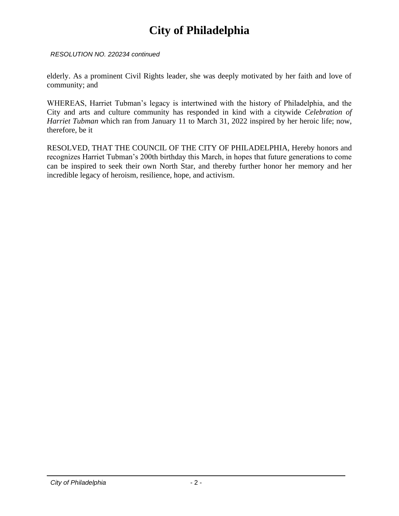*RESOLUTION NO. 220234 continued*

elderly. As a prominent Civil Rights leader, she was deeply motivated by her faith and love of community; and

WHEREAS, Harriet Tubman's legacy is intertwined with the history of Philadelphia, and the City and arts and culture community has responded in kind with a citywide *Celebration of Harriet Tubman* which ran from January 11 to March 31, 2022 inspired by her heroic life; now, therefore, be it

RESOLVED, THAT THE COUNCIL OF THE CITY OF PHILADELPHIA, Hereby honors and recognizes Harriet Tubman's 200th birthday this March, in hopes that future generations to come can be inspired to seek their own North Star, and thereby further honor her memory and her incredible legacy of heroism, resilience, hope, and activism.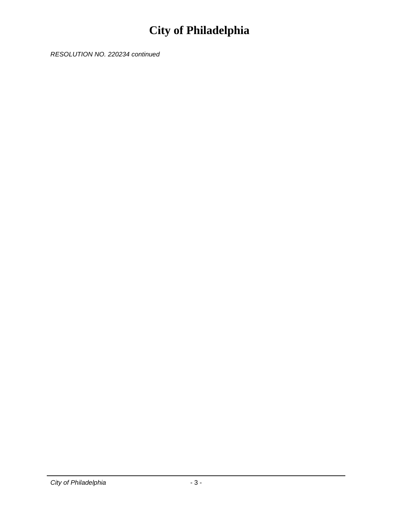*RESOLUTION NO. 220234 continued*